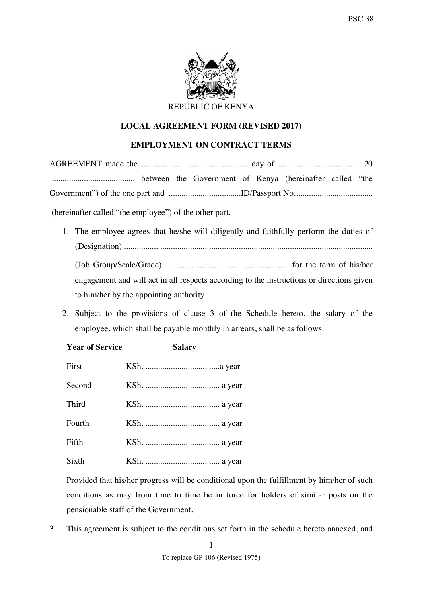

# **LOCAL AGREEMENT FORM (REVISED 2017)**

## **EMPLOYMENT ON CONTRACT TERMS**

AGREEMENT made the ....................................................day of ....................................... 20 ........................................ between the Government of Kenya (hereinafter called "the Government") of the one part and ................................ID/Passport No.................................. (hereinafter called "the employee") of the other part.

- 1. The employee agrees that he/she will diligently and faithfully perform the duties of (Designation) ..................................................................................................................... (Job Group/Scale/Grade) .......................................................... for the term of his/her engagement and will act in all respects according to the instructions or directions given to him/her by the appointing authority.
- 2. Subject to the provisions of clause 3 of the Schedule hereto, the salary of the employee, which shall be payable monthly in arrears, shall be as follows:

| <b>Year of Service</b> | <b>Salary</b> |
|------------------------|---------------|
| First                  |               |
| Second                 |               |
| Third                  |               |
| Fourth                 |               |
| Fifth                  |               |
| Sixth                  |               |

Provided that his/her progress will be conditional upon the fulfillment by him/her of such conditions as may from time to time be in force for holders of similar posts on the pensionable staff of the Government.

3. This agreement is subject to the conditions set forth in the schedule hereto annexed, and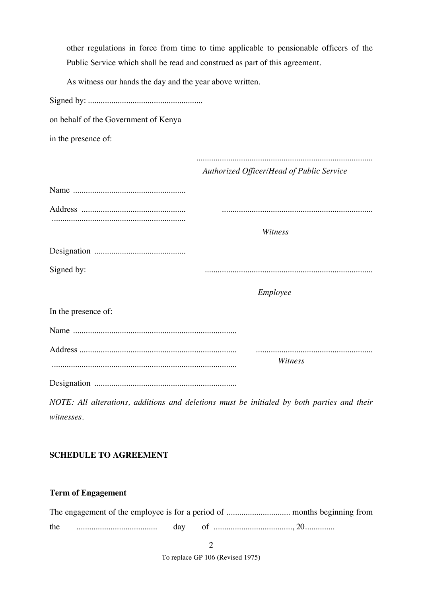other regulations in force from time to time applicable to pensionable officers of the Public Service which shall be read and construed as part of this agreement.

As witness our hands the day and the year above written.

| on behalf of the Government of Kenya |                                           |
|--------------------------------------|-------------------------------------------|
| in the presence of:                  |                                           |
|                                      |                                           |
|                                      | Authorized Officer/Head of Public Service |
|                                      |                                           |
|                                      |                                           |
|                                      |                                           |
|                                      | Witness                                   |
|                                      |                                           |
| Signed by:                           |                                           |
|                                      | Employee                                  |
| In the presence of:                  |                                           |
|                                      |                                           |
|                                      |                                           |
|                                      | Witness                                   |
|                                      |                                           |

*NOTE: All alterations, additions and deletions must be initialed by both parties and their witnesses.* 

# **SCHEDULE TO AGREEMENT**

# **Term of Engagement**

| the | day |  |
|-----|-----|--|

2

To replace GP 106 (Revised 1975)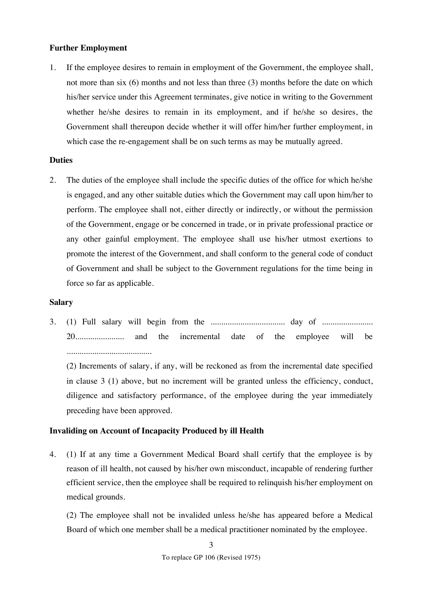### **Further Employment**

1. If the employee desires to remain in employment of the Government, the employee shall, not more than six (6) months and not less than three (3) months before the date on which his/her service under this Agreement terminates, give notice in writing to the Government whether he/she desires to remain in its employment, and if he/she so desires, the Government shall thereupon decide whether it will offer him/her further employment, in which case the re-engagement shall be on such terms as may be mutually agreed.

## **Duties**

2. The duties of the employee shall include the specific duties of the office for which he/she is engaged, and any other suitable duties which the Government may call upon him/her to perform. The employee shall not, either directly or indirectly, or without the permission of the Government, engage or be concerned in trade, or in private professional practice or any other gainful employment. The employee shall use his/her utmost exertions to promote the interest of the Government, and shall conform to the general code of conduct of Government and shall be subject to the Government regulations for the time being in force so far as applicable.

### **Salary**

3. (1) Full salary will begin from the ................................... day of ........................ 20....................... and the incremental date of the employee will be ........................................

(2) Increments of salary, if any, will be reckoned as from the incremental date specified in clause 3 (1) above, but no increment will be granted unless the efficiency, conduct, diligence and satisfactory performance, of the employee during the year immediately preceding have been approved.

## **Invaliding on Account of Incapacity Produced by ill Health**

4. (1) If at any time a Government Medical Board shall certify that the employee is by reason of ill health, not caused by his/her own misconduct, incapable of rendering further efficient service, then the employee shall be required to relinquish his/her employment on medical grounds.

(2) The employee shall not be invalided unless he/she has appeared before a Medical Board of which one member shall be a medical practitioner nominated by the employee.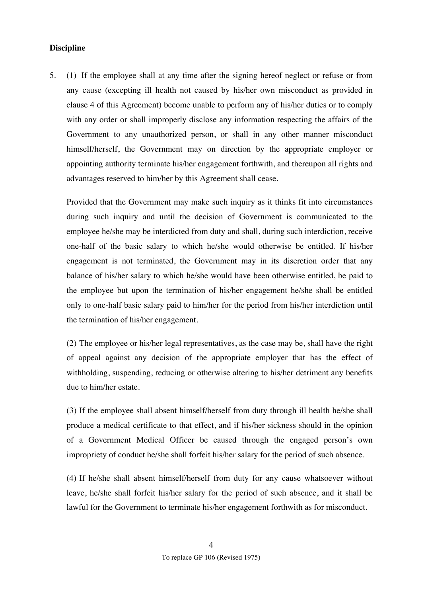### **Discipline**

5. (1) If the employee shall at any time after the signing hereof neglect or refuse or from any cause (excepting ill health not caused by his/her own misconduct as provided in clause 4 of this Agreement) become unable to perform any of his/her duties or to comply with any order or shall improperly disclose any information respecting the affairs of the Government to any unauthorized person, or shall in any other manner misconduct himself/herself, the Government may on direction by the appropriate employer or appointing authority terminate his/her engagement forthwith, and thereupon all rights and advantages reserved to him/her by this Agreement shall cease.

Provided that the Government may make such inquiry as it thinks fit into circumstances during such inquiry and until the decision of Government is communicated to the employee he/she may be interdicted from duty and shall, during such interdiction, receive one-half of the basic salary to which he/she would otherwise be entitled. If his/her engagement is not terminated, the Government may in its discretion order that any balance of his/her salary to which he/she would have been otherwise entitled, be paid to the employee but upon the termination of his/her engagement he/she shall be entitled only to one-half basic salary paid to him/her for the period from his/her interdiction until the termination of his/her engagement.

(2) The employee or his/her legal representatives, as the case may be, shall have the right of appeal against any decision of the appropriate employer that has the effect of withholding, suspending, reducing or otherwise altering to his/her detriment any benefits due to him/her estate.

(3) If the employee shall absent himself/herself from duty through ill health he/she shall produce a medical certificate to that effect, and if his/her sickness should in the opinion of a Government Medical Officer be caused through the engaged person's own impropriety of conduct he/she shall forfeit his/her salary for the period of such absence.

(4) If he/she shall absent himself/herself from duty for any cause whatsoever without leave, he/she shall forfeit his/her salary for the period of such absence, and it shall be lawful for the Government to terminate his/her engagement forthwith as for misconduct.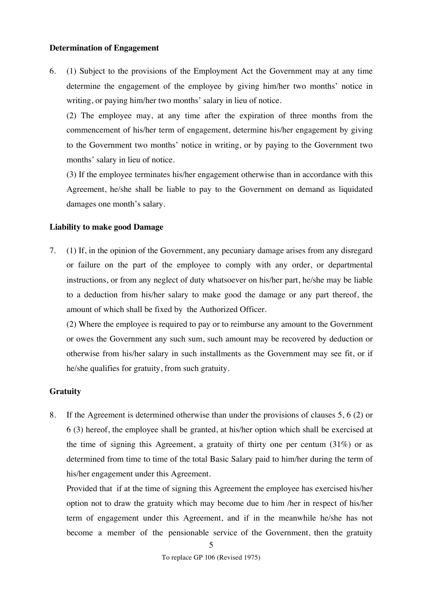### **Determination of Engagement**

6. (1) Subject to the provisions of the Employment Act the Government may at any time determine the engagement of the employee by giving him/her two months' notice in writing, or paying him/her two months' salary in lieu of notice.

(2) The employee may, at any time after the expiration of three months from the commencement of his/her term of engagement, determine his/her engagement by giving to the Government two months' notice in writing, or by paying to the Government two months' salary in lieu of notice.

(3) If the employee terminates his/her engagement otherwise than in accordance with this Agreement, he/she shall be liable to pay to the Government on demand as liquidated damages one month's salary.

### **Liability to make good Damage**

7. (1) If, in the opinion of the Government, any pecuniary damage arises from any disregard or failure on the part of the employee to comply with any order, or departmental instructions, or from any neglect of duty whatsoever on his/her part, he/she may be liable to a deduction from his/her salary to make good the damage or any part thereof, the amount of which shall be fixed by the Authorized Officer.

(2) Where the employee is required to pay or to reimburse any amount to the Government or owes the Government any such sum, such amount may be recovered by deduction or otherwise from his/her salary in such installments as the Government may see fit, or if he/she qualifies for gratuity, from such gratuity.

## **Gratuity**

8. If the Agreement is determined otherwise than under the provisions of clauses 5, 6 (2) or 6 (3) hereof, the employee shall be granted, at his/her option which shall be exercised at the time of signing this Agreement, a gratuity of thirty one per centum (31%) or as determined from time to time of the total Basic Salary paid to him/her during the term of his/her engagement under this Agreement.

Provided that if at the time of signing this Agreement the employee has exercised his/her option not to draw the gratuity which may become due to him /her in respect of his/her term of engagement under this Agreement, and if in the meanwhile he/she has not become a member of the pensionable service of the Government, then the gratuity